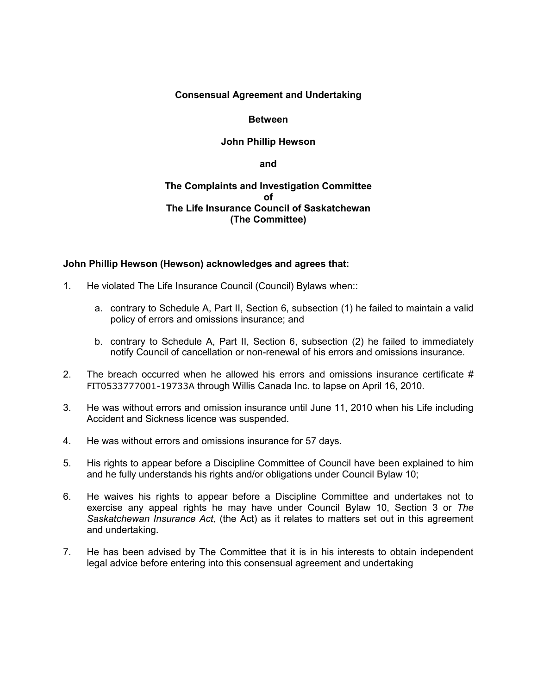### **Consensual Agreement and Undertaking**

#### **Between**

### **John Phillip Hewson**

**and**

#### **The Complaints and Investigation Committee of The Life Insurance Council of Saskatchewan (The Committee)**

#### **John Phillip Hewson (Hewson) acknowledges and agrees that:**

- 1. He violated The Life Insurance Council (Council) Bylaws when::
	- a. contrary to Schedule A, Part II, Section 6, subsection (1) he failed to maintain a valid policy of errors and omissions insurance; and
	- b. contrary to Schedule A, Part II, Section 6, subsection (2) he failed to immediately notify Council of cancellation or non-renewal of his errors and omissions insurance.
- 2. The breach occurred when he allowed his errors and omissions insurance certificate  $#$ FIT0533777001-19733A through Willis Canada Inc. to lapse on April 16, 2010.
- 3. He was without errors and omission insurance until June 11, 2010 when his Life including Accident and Sickness licence was suspended.
- 4. He was without errors and omissions insurance for 57 days.
- 5. His rights to appear before a Discipline Committee of Council have been explained to him and he fully understands his rights and/or obligations under Council Bylaw 10;
- 6. He waives his rights to appear before a Discipline Committee and undertakes not to exercise any appeal rights he may have under Council Bylaw 10, Section 3 or *The Saskatchewan Insurance Act,* (the Act) as it relates to matters set out in this agreement and undertaking.
- 7. He has been advised by The Committee that it is in his interests to obtain independent legal advice before entering into this consensual agreement and undertaking